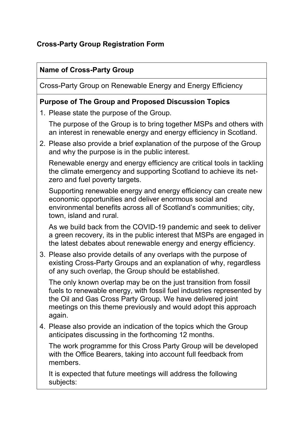# **Cross-Party Group Registration Form**

### **Name of Cross-Party Group**

Cross-Party Group on Renewable Energy and Energy Efficiency

#### **Purpose of The Group and Proposed Discussion Topics**

1. Please state the purpose of the Group.

The purpose of the Group is to bring together MSPs and others with an interest in renewable energy and energy efficiency in Scotland.

2. Please also provide a brief explanation of the purpose of the Group and why the purpose is in the public interest.

Renewable energy and energy efficiency are critical tools in tackling the climate emergency and supporting Scotland to achieve its netzero and fuel poverty targets.

Supporting renewable energy and energy efficiency can create new economic opportunities and deliver enormous social and environmental benefits across all of Scotland's communities; city, town, island and rural.

As we build back from the COVID-19 pandemic and seek to deliver a green recovery, its in the public interest that MSPs are engaged in the latest debates about renewable energy and energy efficiency.

3. Please also provide details of any overlaps with the purpose of existing Cross-Party Groups and an explanation of why, regardless of any such overlap, the Group should be established.

The only known overlap may be on the just transition from fossil fuels to renewable energy, with fossil fuel industries represented by the Oil and Gas Cross Party Group. We have delivered joint meetings on this theme previously and would adopt this approach again.

4. Please also provide an indication of the topics which the Group anticipates discussing in the forthcoming 12 months.

The work programme for this Cross Party Group will be developed with the Office Bearers, taking into account full feedback from members.

It is expected that future meetings will address the following subjects: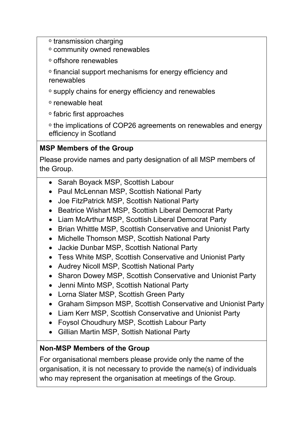- ᵒ transmission charging
- ᵒ community owned renewables
- ᵒ offshore renewables
- ᵒ financial support mechanisms for energy efficiency and renewables
- ᵒ supply chains for energy efficiency and renewables
- ᵒ renewable heat
- ᵒ fabric first approaches
- ᵒ the implications of COP26 agreements on renewables and energy efficiency in Scotland

### **MSP Members of the Group**

Please provide names and party designation of all MSP members of the Group.

- Sarah Boyack MSP, Scottish Labour
- Paul McLennan MSP, Scottish National Party
- Joe FitzPatrick MSP, Scottish National Party
- Beatrice Wishart MSP, Scottish Liberal Democrat Party
- Liam McArthur MSP, Scottish Liberal Democrat Party
- Brian Whittle MSP, Scottish Conservative and Unionist Party
- Michelle Thomson MSP, Scottish National Party
- Jackie Dunbar MSP, Scottish National Party
- Tess White MSP, Scottish Conservative and Unionist Party
- Audrey Nicoll MSP, Scottish National Party
- Sharon Dowey MSP, Scottish Conservative and Unionist Party
- Jenni Minto MSP, Scottish National Party
- Lorna Slater MSP, Scottish Green Party
- Graham Simpson MSP, Scottish Conservative and Unionist Party
- Liam Kerr MSP, Scottish Conservative and Unionist Party
- Foysol Choudhury MSP, Scottish Labour Party
- Gillian Martin MSP, Sottish National Party

# **Non-MSP Members of the Group**

For organisational members please provide only the name of the organisation, it is not necessary to provide the name(s) of individuals who may represent the organisation at meetings of the Group.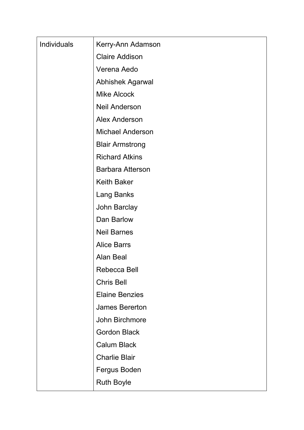| <b>Individuals</b> | Kerry-Ann Adamson       |
|--------------------|-------------------------|
|                    | <b>Claire Addison</b>   |
|                    | Verena Aedo             |
|                    | <b>Abhishek Agarwal</b> |
|                    | <b>Mike Alcock</b>      |
|                    | <b>Neil Anderson</b>    |
|                    | <b>Alex Anderson</b>    |
|                    | <b>Michael Anderson</b> |
|                    | <b>Blair Armstrong</b>  |
|                    | <b>Richard Atkins</b>   |
|                    | <b>Barbara Atterson</b> |
|                    | <b>Keith Baker</b>      |
|                    | <b>Lang Banks</b>       |
|                    | <b>John Barclay</b>     |
|                    | Dan Barlow              |
|                    | <b>Neil Barnes</b>      |
|                    | <b>Alice Barrs</b>      |
|                    | <b>Alan Beal</b>        |
|                    | Rebecca Bell            |
|                    | <b>Chris Bell</b>       |
|                    | <b>Elaine Benzies</b>   |
|                    | <b>James Bererton</b>   |
|                    | John Birchmore          |
|                    | <b>Gordon Black</b>     |
|                    | <b>Calum Black</b>      |
|                    | <b>Charlie Blair</b>    |
|                    | Fergus Boden            |
|                    | <b>Ruth Boyle</b>       |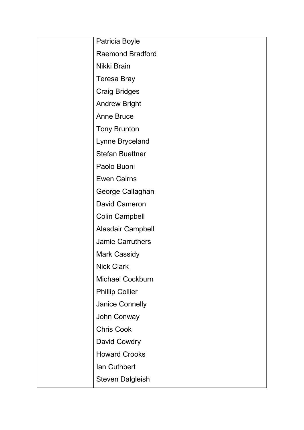| Patricia Boyle           |
|--------------------------|
| <b>Raemond Bradford</b>  |
| Nikki Brain              |
| <b>Teresa Bray</b>       |
| <b>Craig Bridges</b>     |
| <b>Andrew Bright</b>     |
| <b>Anne Bruce</b>        |
| <b>Tony Brunton</b>      |
| Lynne Bryceland          |
| <b>Stefan Buettner</b>   |
| Paolo Buoni              |
| <b>Ewen Cairns</b>       |
| George Callaghan         |
| <b>David Cameron</b>     |
| <b>Colin Campbell</b>    |
| <b>Alasdair Campbell</b> |
| <b>Jamie Carruthers</b>  |
| <b>Mark Cassidy</b>      |
| <b>Nick Clark</b>        |
| <b>Michael Cockburn</b>  |
| <b>Phillip Collier</b>   |
| <b>Janice Connelly</b>   |
| John Conway              |
| <b>Chris Cook</b>        |
| David Cowdry             |
| <b>Howard Crooks</b>     |
| <b>lan Cuthbert</b>      |
| <b>Steven Dalgleish</b>  |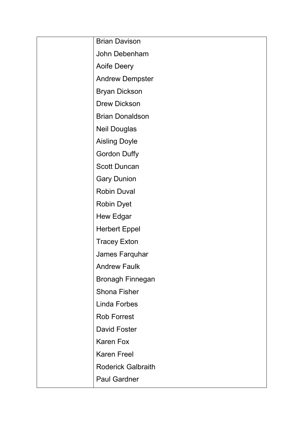| <b>Brian Davison</b>      |
|---------------------------|
| John Debenham             |
| <b>Aoife Deery</b>        |
| <b>Andrew Dempster</b>    |
| <b>Bryan Dickson</b>      |
| <b>Drew Dickson</b>       |
| <b>Brian Donaldson</b>    |
| <b>Neil Douglas</b>       |
| <b>Aisling Doyle</b>      |
| <b>Gordon Duffy</b>       |
| <b>Scott Duncan</b>       |
| <b>Gary Dunion</b>        |
| <b>Robin Duval</b>        |
| <b>Robin Dyet</b>         |
| <b>Hew Edgar</b>          |
| <b>Herbert Eppel</b>      |
| <b>Tracey Exton</b>       |
| James Farquhar            |
| <b>Andrew Faulk</b>       |
| <b>Bronagh Finnegan</b>   |
| <b>Shona Fisher</b>       |
| <b>Linda Forbes</b>       |
| <b>Rob Forrest</b>        |
| David Foster              |
| <b>Karen Fox</b>          |
| <b>Karen Freel</b>        |
| <b>Roderick Galbraith</b> |
| <b>Paul Gardner</b>       |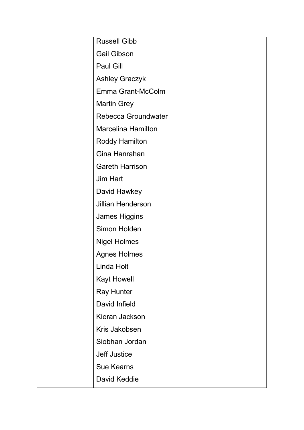| <b>Russell Gibb</b>       |
|---------------------------|
| <b>Gail Gibson</b>        |
| <b>Paul Gill</b>          |
| <b>Ashley Graczyk</b>     |
| Emma Grant-McColm         |
| <b>Martin Grey</b>        |
| Rebecca Groundwater       |
| <b>Marcelina Hamilton</b> |
| <b>Roddy Hamilton</b>     |
| Gina Hanrahan             |
| <b>Gareth Harrison</b>    |
| <b>Jim Hart</b>           |
| David Hawkey              |
| <b>Jillian Henderson</b>  |
| <b>James Higgins</b>      |
| Simon Holden              |
| <b>Nigel Holmes</b>       |
| <b>Agnes Holmes</b>       |
| Linda Holt                |
| <b>Kayt Howell</b>        |
| <b>Ray Hunter</b>         |
| David Infield             |
| Kieran Jackson            |
| Kris Jakobsen             |
| Siobhan Jordan            |
| <b>Jeff Justice</b>       |
| <b>Sue Kearns</b>         |
| David Keddie              |
|                           |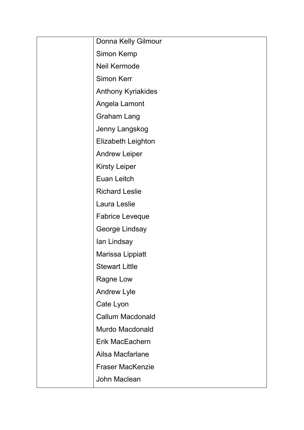| Donna Kelly Gilmour       |
|---------------------------|
| <b>Simon Kemp</b>         |
| Neil Kermode              |
| <b>Simon Kerr</b>         |
| <b>Anthony Kyriakides</b> |
| Angela Lamont             |
| <b>Graham Lang</b>        |
| Jenny Langskog            |
| <b>Elizabeth Leighton</b> |
| <b>Andrew Leiper</b>      |
| <b>Kirsty Leiper</b>      |
| Euan Leitch               |
| <b>Richard Leslie</b>     |
| Laura Leslie              |
| <b>Fabrice Leveque</b>    |
| George Lindsay            |
| lan Lindsay               |
| Marissa Lippiatt          |
| <b>Stewart Little</b>     |
| Ragne Low                 |
| <b>Andrew Lyle</b>        |
| Cate Lyon                 |
| <b>Callum Macdonald</b>   |
| Murdo Macdonald           |
| <b>Erik MacEachern</b>    |
| Ailsa Macfarlane          |
| <b>Fraser MacKenzie</b>   |
| John Maclean              |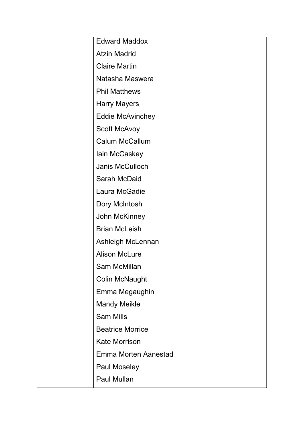| <b>Edward Maddox</b>        |
|-----------------------------|
|                             |
| <b>Atzin Madrid</b>         |
| <b>Claire Martin</b>        |
| Natasha Maswera             |
| <b>Phil Matthews</b>        |
| <b>Harry Mayers</b>         |
| <b>Eddie McAvinchey</b>     |
| <b>Scott McAvoy</b>         |
| <b>Calum McCallum</b>       |
| lain McCaskey               |
| Janis McCulloch             |
| Sarah McDaid                |
| Laura McGadie               |
| Dory McIntosh               |
| John McKinney               |
| <b>Brian McLeish</b>        |
| Ashleigh McLennan           |
| <b>Alison McLure</b>        |
| <b>Sam McMillan</b>         |
| <b>Colin McNaught</b>       |
| Emma Megaughin              |
| <b>Mandy Meikle</b>         |
| <b>Sam Mills</b>            |
| <b>Beatrice Morrice</b>     |
| <b>Kate Morrison</b>        |
| <b>Emma Morten Aanestad</b> |
| <b>Paul Moseley</b>         |
| <b>Paul Mullan</b>          |
|                             |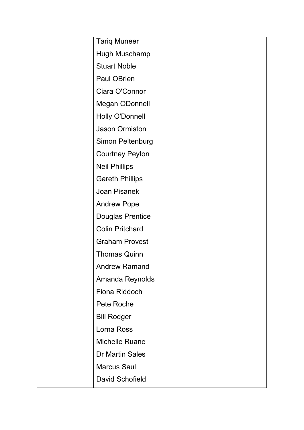| <b>Tariq Muneer</b>     |
|-------------------------|
| Hugh Muschamp           |
| <b>Stuart Noble</b>     |
| Paul OBrien             |
| Ciara O'Connor          |
| <b>Megan ODonnell</b>   |
| <b>Holly O'Donnell</b>  |
| <b>Jason Ormiston</b>   |
| <b>Simon Peltenburg</b> |
| <b>Courtney Peyton</b>  |
| <b>Neil Phillips</b>    |
| <b>Gareth Phillips</b>  |
| <b>Joan Pisanek</b>     |
| <b>Andrew Pope</b>      |
| <b>Douglas Prentice</b> |
| <b>Colin Pritchard</b>  |
| <b>Graham Provest</b>   |
| <b>Thomas Quinn</b>     |
| <b>Andrew Ramand</b>    |
| Amanda Reynolds         |
| Fiona Riddoch           |
| Pete Roche              |
| <b>Bill Rodger</b>      |
| Lorna Ross              |
| <b>Michelle Ruane</b>   |
| <b>Dr Martin Sales</b>  |
| <b>Marcus Saul</b>      |
| <b>David Schofield</b>  |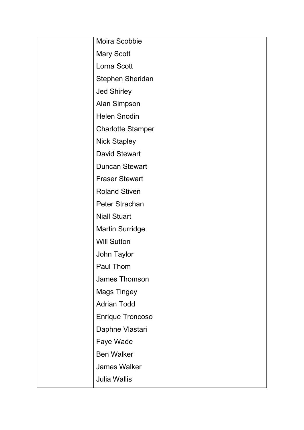| Moira Scobbie            |
|--------------------------|
| <b>Mary Scott</b>        |
| Lorna Scott              |
| <b>Stephen Sheridan</b>  |
| <b>Jed Shirley</b>       |
| <b>Alan Simpson</b>      |
| <b>Helen Snodin</b>      |
| <b>Charlotte Stamper</b> |
| <b>Nick Stapley</b>      |
| <b>David Stewart</b>     |
| <b>Duncan Stewart</b>    |
| <b>Fraser Stewart</b>    |
| <b>Roland Stiven</b>     |
| <b>Peter Strachan</b>    |
| <b>Niall Stuart</b>      |
| <b>Martin Surridge</b>   |
| <b>Will Sutton</b>       |
| <b>John Taylor</b>       |
| Paul Thom                |
| <b>James Thomson</b>     |
| <b>Mags Tingey</b>       |
| <b>Adrian Todd</b>       |
| <b>Enrique Troncoso</b>  |
| Daphne Vlastari          |
| Faye Wade                |
| <b>Ben Walker</b>        |
| <b>James Walker</b>      |
| <b>Julia Wallis</b>      |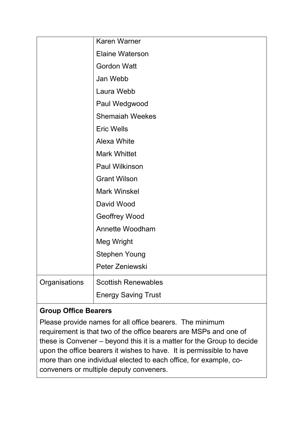|               | <b>Karen Warner</b>        |
|---------------|----------------------------|
|               | <b>Elaine Waterson</b>     |
|               | <b>Gordon Watt</b>         |
|               | Jan Webb                   |
|               | Laura Webb                 |
|               | Paul Wedgwood              |
|               | <b>Shemaiah Weekes</b>     |
|               | <b>Eric Wells</b>          |
|               | <b>Alexa White</b>         |
|               | <b>Mark Whittet</b>        |
|               | <b>Paul Wilkinson</b>      |
|               | <b>Grant Wilson</b>        |
|               | <b>Mark Winskel</b>        |
|               | David Wood                 |
|               | <b>Geoffrey Wood</b>       |
|               | <b>Annette Woodham</b>     |
|               | <b>Meg Wright</b>          |
|               | <b>Stephen Young</b>       |
|               | Peter Zeniewski            |
| Organisations | <b>Scottish Renewables</b> |
|               | <b>Energy Saving Trust</b> |

# **Group Office Bearers**

Please provide names for all office bearers. The minimum requirement is that two of the office bearers are MSPs and one of these is Convener – beyond this it is a matter for the Group to decide upon the office bearers it wishes to have. It is permissible to have more than one individual elected to each office, for example, coconveners or multiple deputy conveners.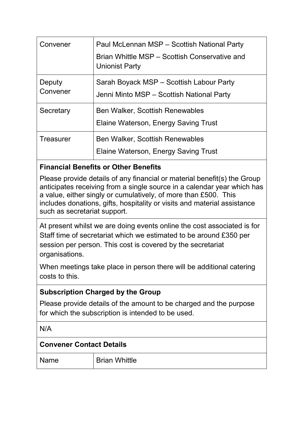| Convener         | Paul McLennan MSP - Scottish National Party                            |
|------------------|------------------------------------------------------------------------|
|                  | Brian Whittle MSP – Scottish Conservative and<br><b>Unionist Party</b> |
| Deputy           | Sarah Boyack MSP - Scottish Labour Party                               |
| Convener         | Jenni Minto MSP - Scottish National Party                              |
| Secretary        | <b>Ben Walker, Scottish Renewables</b>                                 |
|                  | <b>Elaine Waterson, Energy Saving Trust</b>                            |
| <b>Treasurer</b> | <b>Ben Walker, Scottish Renewables</b>                                 |
|                  | Elaine Waterson, Energy Saving Trust                                   |

# **Financial Benefits or Other Benefits**

Please provide details of any financial or material benefit(s) the Group anticipates receiving from a single source in a calendar year which has a value, either singly or cumulatively, of more than £500. This includes donations, gifts, hospitality or visits and material assistance such as secretariat support.

At present whilst we are doing events online the cost associated is for Staff time of secretariat which we estimated to be around £350 per session per person. This cost is covered by the secretariat organisations.

When meetings take place in person there will be additional catering costs to this.

#### **Subscription Charged by the Group**

Please provide details of the amount to be charged and the purpose for which the subscription is intended to be used.

N/A

#### **Convener Contact Details**

Name Brian Whittle